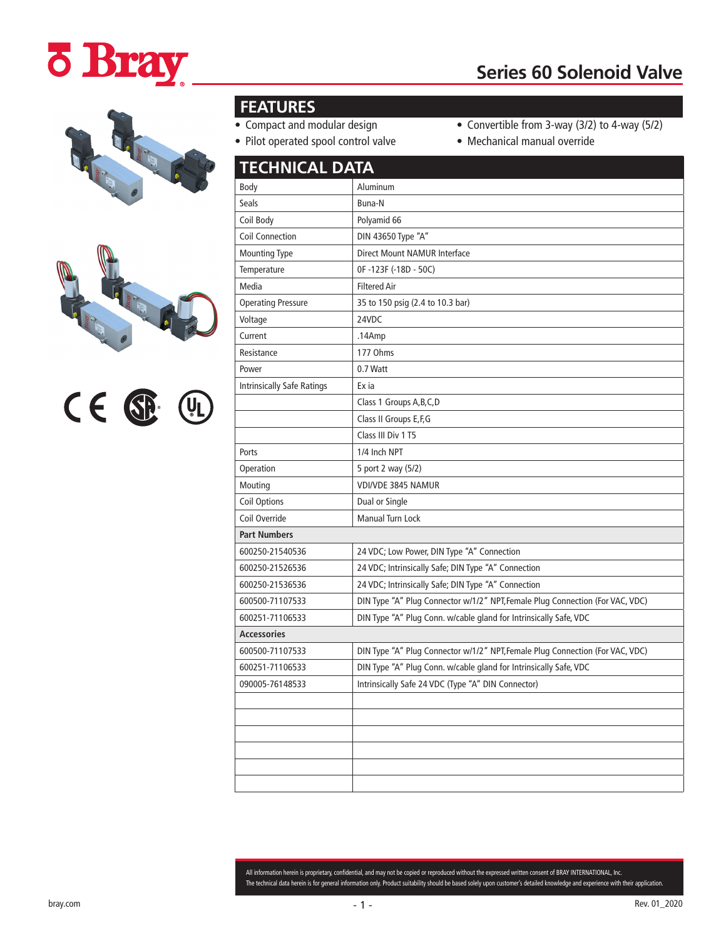# **ö Bray**

# **Series 60 Solenoid Valve**







## **FEATURES**

- Compact and modular design
- Pilot operated spool control valve
- Convertible from 3-way (3/2) to 4-way (5/2)
- Mechanical manual override

| <b>TECHNICAL DATA</b>             |                                                                               |  |
|-----------------------------------|-------------------------------------------------------------------------------|--|
| Body                              | Aluminum                                                                      |  |
| <b>Seals</b>                      | Buna-N                                                                        |  |
| Coil Body                         | Polyamid 66                                                                   |  |
| <b>Coil Connection</b>            | DIN 43650 Type "A"                                                            |  |
| <b>Mounting Type</b>              | Direct Mount NAMUR Interface                                                  |  |
| Temperature                       | OF-123F (-18D - 50C)                                                          |  |
| Media                             | <b>Filtered Air</b>                                                           |  |
| <b>Operating Pressure</b>         | 35 to 150 psig (2.4 to 10.3 bar)                                              |  |
| Voltage                           | 24VDC                                                                         |  |
| Current                           | .14Amp                                                                        |  |
| Resistance                        | 177 Ohms                                                                      |  |
| Power                             | 0.7 Watt                                                                      |  |
| <b>Intrinsically Safe Ratings</b> | Ex ia                                                                         |  |
|                                   | Class 1 Groups A, B, C, D                                                     |  |
|                                   | Class II Groups E, F, G                                                       |  |
|                                   | Class III Div 1 T5                                                            |  |
| Ports                             | 1/4 Inch NPT                                                                  |  |
| Operation                         | 5 port 2 way (5/2)                                                            |  |
| Mouting                           | <b>VDI/VDE 3845 NAMUR</b>                                                     |  |
| <b>Coil Options</b>               | Dual or Single                                                                |  |
| Coil Override                     | Manual Turn Lock                                                              |  |
| <b>Part Numbers</b>               |                                                                               |  |
| 600250-21540536                   | 24 VDC; Low Power, DIN Type "A" Connection                                    |  |
| 600250-21526536                   | 24 VDC; Intrinsically Safe; DIN Type "A" Connection                           |  |
| 600250-21536536                   | 24 VDC; Intrinsically Safe; DIN Type "A" Connection                           |  |
| 600500-71107533                   | DIN Type "A" Plug Connector w/1/2" NPT, Female Plug Connection (For VAC, VDC) |  |
| 600251-71106533                   | DIN Type "A" Plug Conn. w/cable gland for Intrinsically Safe, VDC             |  |
| <b>Accessories</b>                |                                                                               |  |
| 600500-71107533                   | DIN Type "A" Plug Connector w/1/2" NPT, Female Plug Connection (For VAC, VDC) |  |
| 600251-71106533                   | DIN Type "A" Plug Conn. w/cable gland for Intrinsically Safe, VDC             |  |
| 090005-76148533                   | Intrinsically Safe 24 VDC (Type "A" DIN Connector)                            |  |
|                                   |                                                                               |  |
|                                   |                                                                               |  |
|                                   |                                                                               |  |
|                                   |                                                                               |  |
|                                   |                                                                               |  |
|                                   |                                                                               |  |

All information herein is proprietary, confidential, and may not be copied or reproduced without the expressed written consent of BRAY INTERNATIONAL, Inc. The technical data herein is for general information only. Product suitability should be based solely upon customer's detailed knowledge and experience with their application.